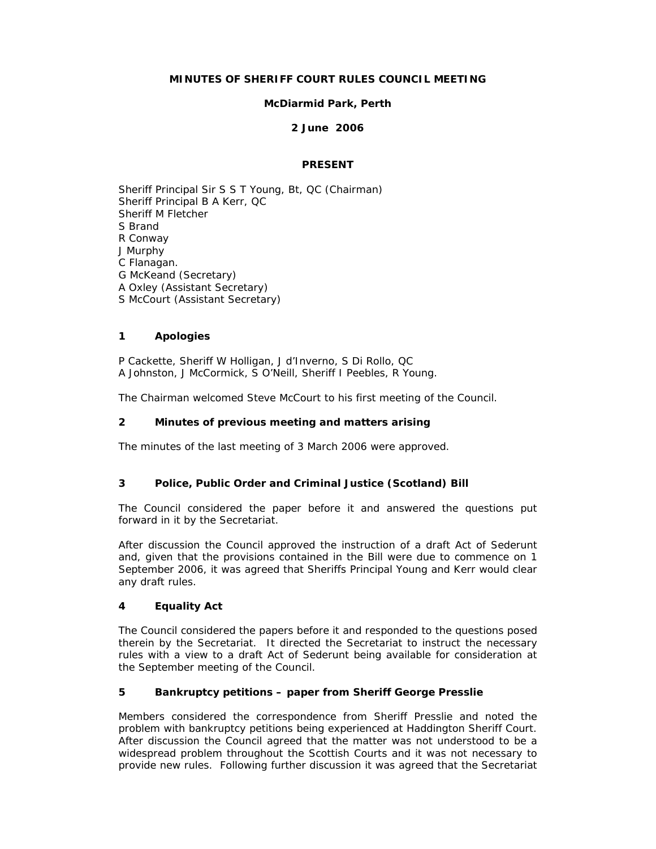### **MINUTES OF SHERIFF COURT RULES COUNCIL MEETING**

### **McDiarmid Park, Perth**

### **2 June 2006**

### **PRESENT**

Sheriff Principal Sir S S T Young, Bt, QC (Chairman) Sheriff Principal B A Kerr, QC Sheriff M Fletcher S Brand R Conway J Murphy C Flanagan. G McKeand (Secretary) A Oxley (Assistant Secretary) S McCourt (Assistant Secretary)

### **1 Apologies**

P Cackette, Sheriff W Holligan, J d'Inverno, S Di Rollo, QC A Johnston, J McCormick, S O'Neill, Sheriff I Peebles, R Young.

The Chairman welcomed Steve McCourt to his first meeting of the Council.

### **2 Minutes of previous meeting and matters arising**

The minutes of the last meeting of 3 March 2006 were approved.

# **3 Police, Public Order and Criminal Justice (Scotland) Bill**

The Council considered the paper before it and answered the questions put forward in it by the Secretariat.

After discussion the Council approved the instruction of a draft Act of Sederunt and, given that the provisions contained in the Bill were due to commence on 1 September 2006, it was agreed that Sheriffs Principal Young and Kerr would clear any draft rules.

### **4 Equality Act**

The Council considered the papers before it and responded to the questions posed therein by the Secretariat. It directed the Secretariat to instruct the necessary rules with a view to a draft Act of Sederunt being available for consideration at the September meeting of the Council.

# **5 Bankruptcy petitions – paper from Sheriff George Presslie**

Members considered the correspondence from Sheriff Presslie and noted the problem with bankruptcy petitions being experienced at Haddington Sheriff Court. After discussion the Council agreed that the matter was not understood to be a widespread problem throughout the Scottish Courts and it was not necessary to provide new rules. Following further discussion it was agreed that the Secretariat